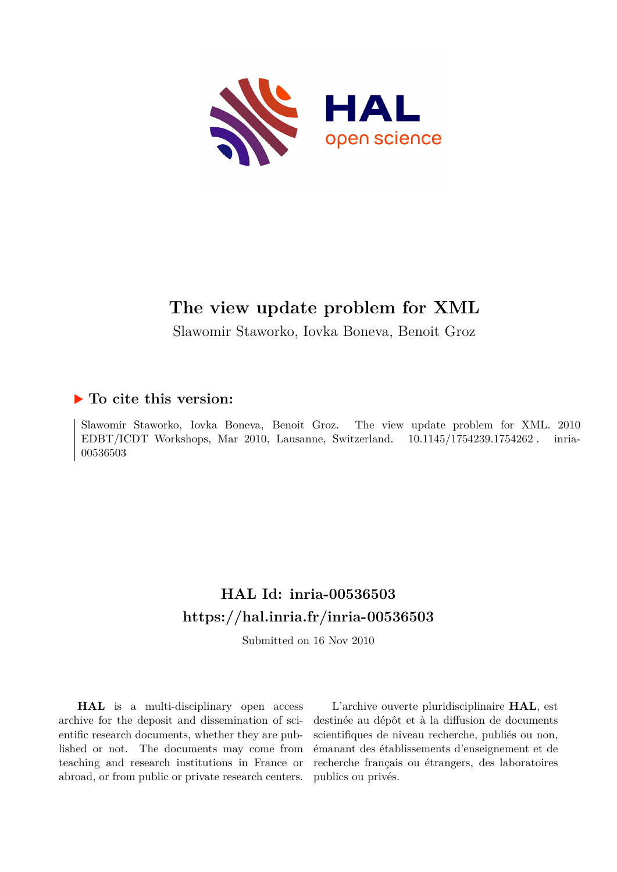

# **The view update problem for XML**

Slawomir Staworko, Iovka Boneva, Benoit Groz

# **To cite this version:**

Slawomir Staworko, Iovka Boneva, Benoit Groz. The view update problem for XML. 2010 EDBT/ICDT Workshops, Mar 2010, Lausanne, Switzerland.  $10.1145/1754239.1754262$ . inria-00536503ff

# **HAL Id: inria-00536503 <https://hal.inria.fr/inria-00536503>**

Submitted on 16 Nov 2010

**HAL** is a multi-disciplinary open access archive for the deposit and dissemination of scientific research documents, whether they are published or not. The documents may come from teaching and research institutions in France or abroad, or from public or private research centers.

L'archive ouverte pluridisciplinaire **HAL**, est destinée au dépôt et à la diffusion de documents scientifiques de niveau recherche, publiés ou non, émanant des établissements d'enseignement et de recherche français ou étrangers, des laboratoires publics ou privés.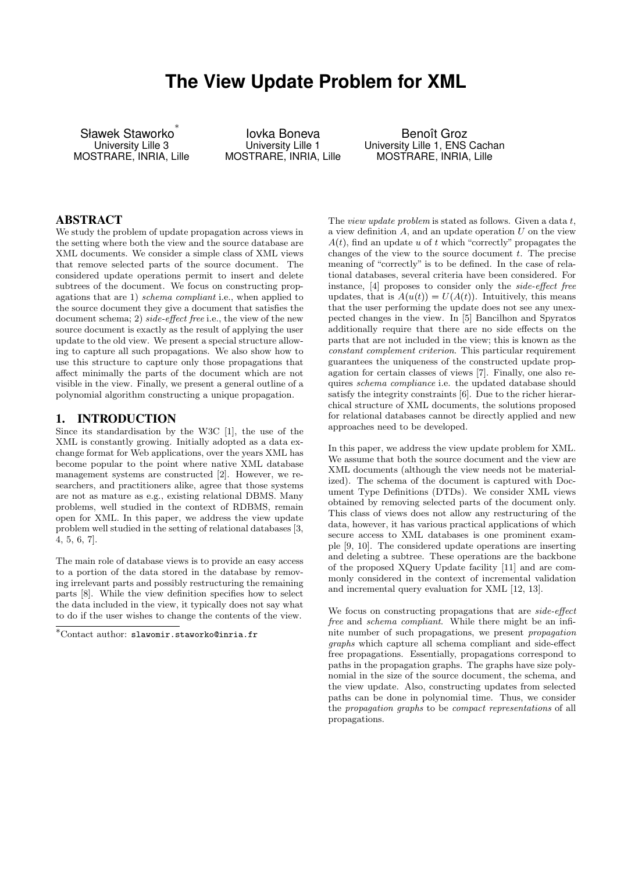# **The View Update Problem for XML**

Sławek Staworko<sup>\*</sup> University Lille 3 MOSTRARE, INRIA, Lille

Iovka Boneva University Lille 1 MOSTRARE, INRIA, Lille

Benoît Groz University Lille 1, ENS Cachan MOSTRARE, INRIA, Lille

#### ABSTRACT

We study the problem of update propagation across views in the setting where both the view and the source database are XML documents. We consider a simple class of XML views that remove selected parts of the source document. The considered update operations permit to insert and delete subtrees of the document. We focus on constructing propagations that are 1) schema compliant i.e., when applied to the source document they give a document that satisfies the document schema; 2) side-effect free i.e., the view of the new source document is exactly as the result of applying the user update to the old view. We present a special structure allowing to capture all such propagations. We also show how to use this structure to capture only those propagations that affect minimally the parts of the document which are not visible in the view. Finally, we present a general outline of a polynomial algorithm constructing a unique propagation.

#### 1. INTRODUCTION

Since its standardisation by the W3C [1], the use of the XML is constantly growing. Initially adopted as a data exchange format for Web applications, over the years XML has become popular to the point where native XML database management systems are constructed [2]. However, we researchers, and practitioners alike, agree that those systems are not as mature as e.g., existing relational DBMS. Many problems, well studied in the context of RDBMS, remain open for XML. In this paper, we address the view update problem well studied in the setting of relational databases [3, 4, 5, 6, 7].

The main role of database views is to provide an easy access to a portion of the data stored in the database by removing irrelevant parts and possibly restructuring the remaining parts [8]. While the view definition specifies how to select the data included in the view, it typically does not say what to do if the user wishes to change the contents of the view.

The *view update problem* is stated as follows. Given a data  $t$ , a view definition  $A$ , and an update operation  $U$  on the view  $A(t)$ , find an update u of t which "correctly" propagates the changes of the view to the source document  $t$ . The precise meaning of "correctly" is to be defined. In the case of relational databases, several criteria have been considered. For instance, [4] proposes to consider only the side-effect free updates, that is  $A(u(t)) = U(A(t))$ . Intuitively, this means that the user performing the update does not see any unexpected changes in the view. In [5] Bancilhon and Spyratos additionally require that there are no side effects on the parts that are not included in the view; this is known as the constant complement criterion. This particular requirement guarantees the uniqueness of the constructed update propagation for certain classes of views [7]. Finally, one also requires schema compliance i.e. the updated database should satisfy the integrity constraints [6]. Due to the richer hierarchical structure of XML documents, the solutions proposed for relational databases cannot be directly applied and new approaches need to be developed.

In this paper, we address the view update problem for XML. We assume that both the source document and the view are XML documents (although the view needs not be materialized). The schema of the document is captured with Document Type Definitions (DTDs). We consider XML views obtained by removing selected parts of the document only. This class of views does not allow any restructuring of the data, however, it has various practical applications of which secure access to XML databases is one prominent example [9, 10]. The considered update operations are inserting and deleting a subtree. These operations are the backbone of the proposed XQuery Update facility [11] and are commonly considered in the context of incremental validation and incremental query evaluation for XML [12, 13].

We focus on constructing propagations that are side-effect free and schema compliant. While there might be an infinite number of such propagations, we present propagation graphs which capture all schema compliant and side-effect free propagations. Essentially, propagations correspond to paths in the propagation graphs. The graphs have size polynomial in the size of the source document, the schema, and the view update. Also, constructing updates from selected paths can be done in polynomial time. Thus, we consider the propagation graphs to be compact representations of all propagations.

<sup>∗</sup>Contact author: slawomir.staworko@inria.fr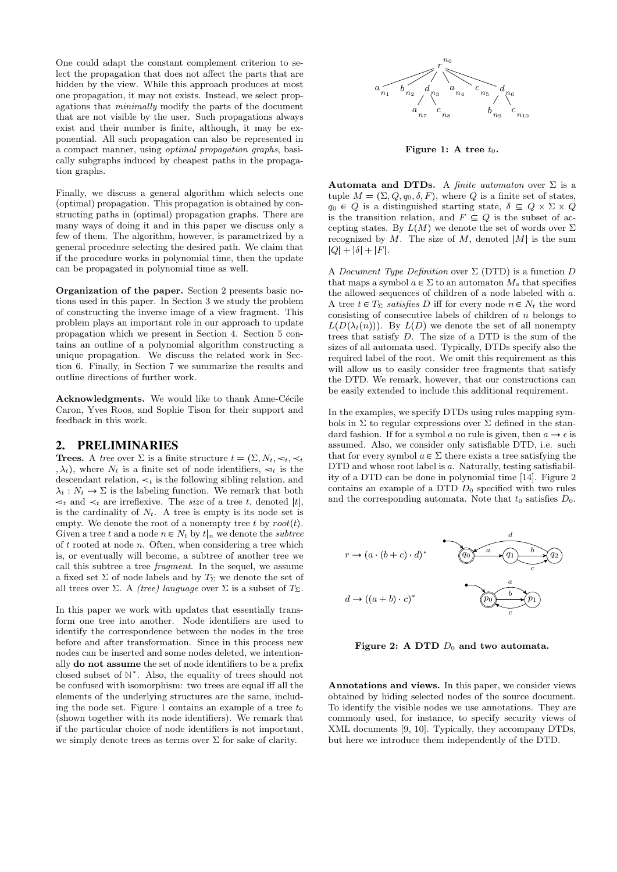One could adapt the constant complement criterion to select the propagation that does not affect the parts that are hidden by the view. While this approach produces at most one propagation, it may not exists. Instead, we select propagations that minimally modify the parts of the document that are not visible by the user. Such propagations always exist and their number is finite, although, it may be exponential. All such propagation can also be represented in a compact manner, using optimal propagation graphs, basically subgraphs induced by cheapest paths in the propagation graphs.

Finally, we discuss a general algorithm which selects one (optimal) propagation. This propagation is obtained by constructing paths in (optimal) propagation graphs. There are many ways of doing it and in this paper we discuss only a few of them. The algorithm, however, is parametrized by a general procedure selecting the desired path. We claim that if the procedure works in polynomial time, then the update can be propagated in polynomial time as well.

Organization of the paper. Section 2 presents basic notions used in this paper. In Section 3 we study the problem of constructing the inverse image of a view fragment. This problem plays an important role in our approach to update propagation which we present in Section 4. Section 5 contains an outline of a polynomial algorithm constructing a unique propagation. We discuss the related work in Section 6. Finally, in Section 7 we summarize the results and outline directions of further work.

Acknowledgments. We would like to thank Anne-Cécile Caron, Yves Roos, and Sophie Tison for their support and feedback in this work.

#### 2. PRELIMINARIES

**Trees.** A tree over  $\Sigma$  is a finite structure  $t = (\Sigma, N_t, \prec_t, \prec_t)$ ,  $\lambda_t$ ), where  $N_t$  is a finite set of node identifiers,  $\leq_t$  is the descendant relation,  $\prec_t$  is the following sibling relation, and  $\lambda_t : N_t \to \Sigma$  is the labeling function. We remark that both  $\lhd_t$  and  $\lhd_t$  are irreflexive. The size of a tree t, denoted |t|, is the cardinality of  $N_t$ . A tree is empty is its node set is empty. We denote the root of a nonempty tree t by  $root(t)$ . Given a tree t and a node  $n \in N_t$  by  $t|_n$  we denote the subtree of t rooted at node n. Often, when considering a tree which is, or eventually will become, a subtree of another tree we call this subtree a tree fragment. In the sequel, we assume a fixed set  $\Sigma$  of node labels and by  $T_{\Sigma}$  we denote the set of all trees over Σ. A *(tree) language* over Σ is a subset of  $T_{\Sigma}$ .

In this paper we work with updates that essentially transform one tree into another. Node identifiers are used to identify the correspondence between the nodes in the tree before and after transformation. Since in this process new nodes can be inserted and some nodes deleted, we intentionally do not assume the set of node identifiers to be a prefix closed subset of  $\mathbb{N}^*$ . Also, the equality of trees should not be confused with isomorphism: two trees are equal iff all the elements of the underlying structures are the same, including the node set. Figure 1 contains an example of a tree  $t_0$ (shown together with its node identifiers). We remark that if the particular choice of node identifiers is not important, we simply denote trees as terms over  $\Sigma$  for sake of clarity.



Figure 1: A tree  $t_0$ .

Automata and DTDs. A finite automaton over  $\Sigma$  is a tuple  $M = (\Sigma, Q, q_0, \delta, F)$ , where Q is a finite set of states,  $q_0 \in Q$  is a distinguished starting state,  $\delta \subseteq Q \times \Sigma \times Q$ is the transition relation, and  $F \subseteq Q$  is the subset of accepting states. By  $L(M)$  we denote the set of words over  $\Sigma$ recognized by  $M$ . The size of  $M$ , denoted  $|M|$  is the sum  $|Q| + |\delta| + |F|.$ 

A Document Type Definition over  $\Sigma$  (DTD) is a function D that maps a symbol  $a \in \Sigma$  to an automaton  $M_a$  that specifies the allowed sequences of children of a node labeled with a. A tree  $t \in T_{\Sigma}$  satisfies D iff for every node  $n \in N_t$  the word consisting of consecutive labels of children of  $n$  belongs to  $L(D(\lambda_t(n)))$ . By  $L(D)$  we denote the set of all nonempty trees that satisfy D. The size of a DTD is the sum of the sizes of all automata used. Typically, DTDs specify also the required label of the root. We omit this requirement as this will allow us to easily consider tree fragments that satisfy the DTD. We remark, however, that our constructions can be easily extended to include this additional requirement.

In the examples, we specify DTDs using rules mapping symbols in  $\Sigma$  to regular expressions over  $\Sigma$  defined in the standard fashion. If for a symbol a no rule is given, then  $a \to \epsilon$  is assumed. Also, we consider only satisfiable DTD, i.e. such that for every symbol  $a \in \Sigma$  there exists a tree satisfying the DTD and whose root label is a. Naturally, testing satisfiability of a DTD can be done in polynomial time [14]. Figure 2 contains an example of a DTD  $D_0$  specified with two rules and the corresponding automata. Note that  $t_0$  satisfies  $D_0$ .



Figure 2: A DTD  $D_0$  and two automata.

Annotations and views. In this paper, we consider views obtained by hiding selected nodes of the source document. To identify the visible nodes we use annotations. They are commonly used, for instance, to specify security views of XML documents [9, 10]. Typically, they accompany DTDs, but here we introduce them independently of the DTD.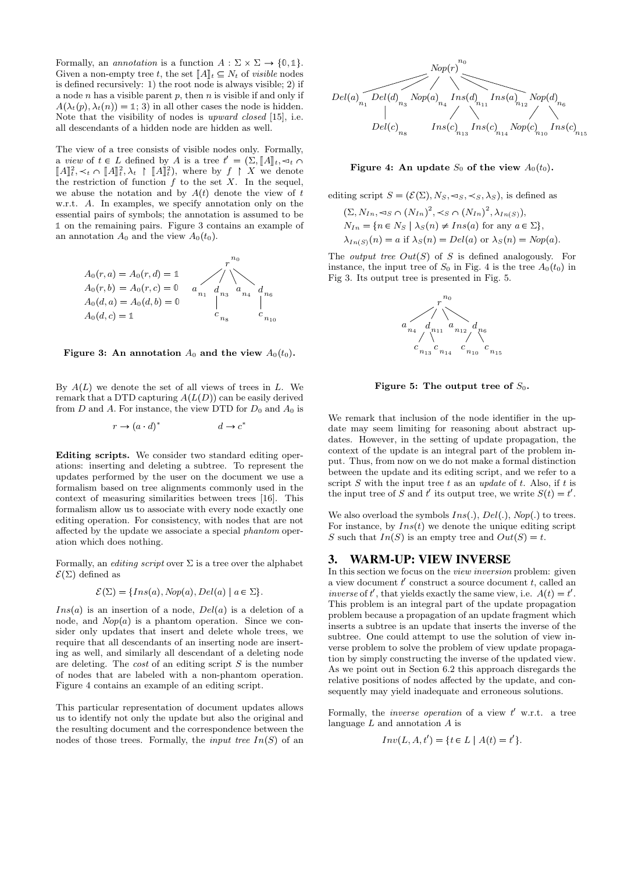Formally, an *annotation* is a function  $A : \Sigma \times \Sigma \rightarrow \{0, 1\}.$ Given a non-empty tree t, the set  $||A||_t \subseteq N_t$  of visible nodes is defined recursively: 1) the root node is always visible; 2) if a node  $n$  has a visible parent  $p$ , then  $n$  is visible if and only if  $A(\lambda_t(p), \lambda_t(n)) = \mathbb{1}; 3$  in all other cases the node is hidden. Note that the visibility of nodes is upward closed [15], i.e. all descendants of a hidden node are hidden as well.

The view of a tree consists of visible nodes only. Formally, a *view* of  $t \in L$  defined by A is a tree  $t' = (\Sigma, [A]_t, \lhd_t \cap$  $\llbracket A \rrbracket_t^2, \prec_t \cap \llbracket A \rrbracket_t^2, \lambda_t \upharpoonright \llbracket A \rrbracket_t^2$ , where by  $f \upharpoonright X$  we denote the restriction of function  $f$  to the set  $X$ . In the sequel, we abuse the notation and by  $A(t)$  denote the view of t w.r.t. A. In examples, we specify annotation only on the essential pairs of symbols; the annotation is assumed to be ✶ on the remaining pairs. Figure 3 contains an example of an annotation  $A_0$  and the view  $A_0(t_0)$ .



Figure 3: An annotation  $A_0$  and the view  $A_0(t_0)$ .

By  $A(L)$  we denote the set of all views of trees in L. We remark that a DTD capturing  $A(L(D))$  can be easily derived from  $D$  and  $A$ . For instance, the view DTD for  $D_0$  and  $A_0$  is

$$
r \to (a \cdot d)^* \qquad d \to c^*
$$

Editing scripts. We consider two standard editing operations: inserting and deleting a subtree. To represent the updates performed by the user on the document we use a formalism based on tree alignments commonly used in the context of measuring similarities between trees [16]. This formalism allow us to associate with every node exactly one editing operation. For consistency, with nodes that are not affected by the update we associate a special phantom operation which does nothing.

Formally, an *editing script* over  $\Sigma$  is a tree over the alphabet  $\mathcal{E}(\Sigma)$  defined as

$$
\mathcal{E}(\Sigma) = \{Ins(a), Nop(a), Del(a) \mid a \in \Sigma \}.
$$

 $Ins(a)$  is an insertion of a node,  $Del(a)$  is a deletion of a node, and  $Nop(a)$  is a phantom operation. Since we consider only updates that insert and delete whole trees, we require that all descendants of an inserting node are inserting as well, and similarly all descendant of a deleting node are deleting. The *cost* of an editing script  $S$  is the number of nodes that are labeled with a non-phantom operation. Figure 4 contains an example of an editing script.

This particular representation of document updates allows us to identify not only the update but also the original and the resulting document and the correspondence between the nodes of those trees. Formally, the *input tree*  $In(S)$  of an



Figure 4: An update  $S_0$  of the view  $A_0(t_0)$ .

editing script 
$$
S = (\mathcal{E}(\Sigma), N_S, \prec_S, \prec_S, \lambda_S)
$$
, is defined as  
\n $(\Sigma, N_{In}, \prec_S \cap (N_{In})^2, \prec_S \cap (N_{In})^2, \lambda_{In(S)}),$   
\n $N_{In} = \{n \in N_S \mid \lambda_S(n) \neq Ins(a) \text{ for any } a \in \Sigma\},$   
\n $\lambda_{In(S)}(n) = a \text{ if } \lambda_S(n) = Del(a) \text{ or } \lambda_S(n) = Nop(a).$ 

The *output tree*  $Out(S)$  of S is defined analogously. For instance, the input tree of  $S_0$  in Fig. 4 is the tree  $A_0(t_0)$  in Fig 3. Its output tree is presented in Fig. 5.



Figure 5: The output tree of  $S_0$ .

We remark that inclusion of the node identifier in the update may seem limiting for reasoning about abstract updates. However, in the setting of update propagation, the context of the update is an integral part of the problem input. Thus, from now on we do not make a formal distinction between the update and its editing script, and we refer to a script S with the input tree t as an update of t. Also, if t is the input tree of S and t' its output tree, we write  $S(t) = t'$ .

We also overload the symbols  $Ins(.)$ ,  $Del(.)$ ,  $Nop(.)$  to trees. For instance, by  $Ins(t)$  we denote the unique editing script S such that  $In(S)$  is an empty tree and  $Out(S) = t$ .

#### 3. WARM-UP: VIEW INVERSE

In this section we focus on the view inversion problem: given a view document  $t'$  construct a source document  $t$ , called an inverse of t', that yields exactly the same view, i.e.  $A(t) = t'$ . This problem is an integral part of the update propagation problem because a propagation of an update fragment which inserts a subtree is an update that inserts the inverse of the subtree. One could attempt to use the solution of view inverse problem to solve the problem of view update propagation by simply constructing the inverse of the updated view. As we point out in Section 6.2 this approach disregards the relative positions of nodes affected by the update, and consequently may yield inadequate and erroneous solutions.

Formally, the *inverse operation* of a view  $t'$  w.r.t. a tree language  $L$  and annotation  $A$  is

$$
Inv(L, A, t') = \{ t \in L \mid A(t) = t' \}.
$$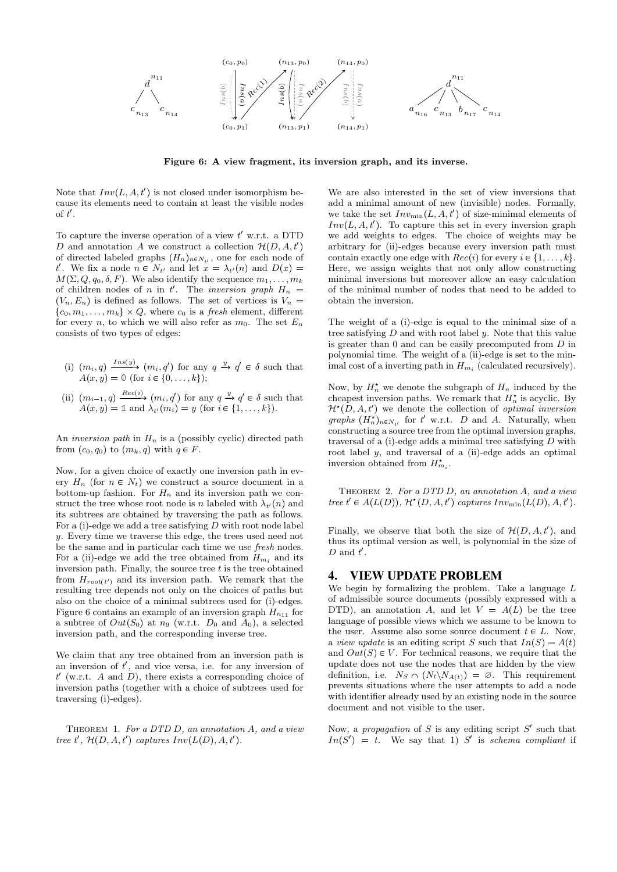

Figure 6: A view fragment, its inversion graph, and its inverse.

Note that  $Inv(L, A, t')$  is not closed under isomorphism because its elements need to contain at least the visible nodes  $\mathrm{of}\;t'.$ 

To capture the inverse operation of a view  $t'$  w.r.t. a DTD D and annotation A we construct a collection  $\mathcal{H}(D, A, t')$ of directed labeled graphs  $(H_n)_{n \in N_{t'}}$ , one for each node of t'. We fix a node  $n \in N_{t'}$  and let  $x = \lambda_{t'}(n)$  and  $D(x) =$  $M(\Sigma, Q, q_0, \delta, F)$ . We also identify the sequence  $m_1, \ldots, m_k$ of children nodes of n in t'. The inversion graph  $H_n =$  $(V_n, E_n)$  is defined as follows. The set of vertices is  $V_n =$  $\{c_0, m_1, \ldots, m_k\} \times Q$ , where  $c_0$  is a *fresh* element, different for every n, to which we will also refer as  $m_0$ . The set  $E_n$ consists of two types of edges:

- (i)  $(m_i, q) \xrightarrow{Ins(y)} (m_i, q')$  for any  $q \xrightarrow{y} q' \in \delta$  such that  $A(x, y) = 0$  (for  $i \in \{0, ..., k\}$ );
- (ii)  $(m_{i-1}, q) \xrightarrow{Rec(i)} (m_i, q')$  for any  $q \xrightarrow{y} q' \in \delta$  such that  $A(x, y) = \mathbb{1}$  and  $\lambda_{t'}(m_i) = y$  (for  $i \in \{1, \ldots, k\}$ ).

An *inversion path* in  $H_n$  is a (possibly cyclic) directed path from  $(c_0, q_0)$  to  $(m_k, q)$  with  $q \in F$ .

Now, for a given choice of exactly one inversion path in every  $H_n$  (for  $n \in N_t$ ) we construct a source document in a bottom-up fashion. For  $H_n$  and its inversion path we construct the tree whose root node is n labeled with  $\lambda_{t'}(n)$  and its subtrees are obtained by traversing the path as follows. For a  $(i)$ -edge we add a tree satisfying  $D$  with root node label y. Every time we traverse this edge, the trees used need not be the same and in particular each time we use fresh nodes. For a (ii)-edge we add the tree obtained from  $H_{m_i}$  and its inversion path. Finally, the source tree  $t$  is the tree obtained from  $H_{root(t')}$  and its inversion path. We remark that the resulting tree depends not only on the choices of paths but also on the choice of a minimal subtrees used for (i)-edges. Figure 6 contains an example of an inversion graph  $H_{n_{11}}$  for a subtree of  $Out(S_0)$  at  $n_9$  (w.r.t.  $D_0$  and  $A_0$ ), a selected inversion path, and the corresponding inverse tree.

We claim that any tree obtained from an inversion path is an inversion of  $t'$ , and vice versa, i.e. for any inversion of  $t'$  (w.r.t. A and D), there exists a corresponding choice of inversion paths (together with a choice of subtrees used for traversing (i)-edges).

THEOREM 1. For a DTD  $D$ , an annotation  $A$ , and a view tree t',  $\mathcal{H}(D, A, t')$  captures  $Inv(L(D), A, t').$ 

We are also interested in the set of view inversions that add a minimal amount of new (invisible) nodes. Formally, we take the set  $Inv_{min}(L, A, t')$  of size-minimal elements of  $Inv(L, A, t')$ . To capture this set in every inversion graph we add weights to edges. The choice of weights may be arbitrary for (ii)-edges because every inversion path must contain exactly one edge with  $Rec(i)$  for every  $i \in \{1, \ldots, k\}.$ Here, we assign weights that not only allow constructing minimal inversions but moreover allow an easy calculation of the minimal number of nodes that need to be added to obtain the inversion.

The weight of a (i)-edge is equal to the minimal size of a tree satisfying  $D$  and with root label  $y$ . Note that this value is greater than 0 and can be easily precomputed from  ${\cal D}$  in polynomial time. The weight of a (ii)-edge is set to the minimal cost of a inverting path in  $H_{m_i}$  (calculated recursively).

Now, by  $H_n^*$  we denote the subgraph of  $H_n$  induced by the cheapest inversion paths. We remark that  $H_n^*$  is acyclic. By  $\mathcal{H}^*(D, A, t')$  we denote the collection of *optimal inversion* graphs  $(H_n^*)_{n \in N_{t'}}$  for t' w.r.t. D and A. Naturally, when constructing a source tree from the optimal inversion graphs, traversal of a  $(i)$ -edge adds a minimal tree satisfying  $D$  with root label y, and traversal of a (ii)-edge adds an optimal inversion obtained from  $H_{m_i}^*$ .

THEOREM 2. For a DTD D, an annotation A, and a view tree  $t' \in A(L(D)),$   $\mathcal{H}^*(D, A, t')$  captures  $Inv_{min}(L(D), A, t').$ 

Finally, we observe that both the size of  $\mathcal{H}(D, A, t')$ , and thus its optimal version as well, is polynomial in the size of  $D$  and  $t'$ .

## 4. VIEW UPDATE PROBLEM

We begin by formalizing the problem. Take a language L of admissible source documents (possibly expressed with a DTD), an annotation A, and let  $V = A(L)$  be the tree language of possible views which we assume to be known to the user. Assume also some source document  $t \in L$ . Now, a *view update* is an editing script S such that  $In(S) = A(t)$ and  $Out(S) \in V$ . For technical reasons, we require that the update does not use the nodes that are hidden by the view definition, i.e.  $N_S \cap (N_t \backslash N_{A(t)}) = \emptyset$ . This requirement prevents situations where the user attempts to add a node with identifier already used by an existing node in the source document and not visible to the user.

Now, a propagation of  $S$  is any editing script  $S'$  such that  $In(S') = t$ . We say that 1) S' is schema compliant if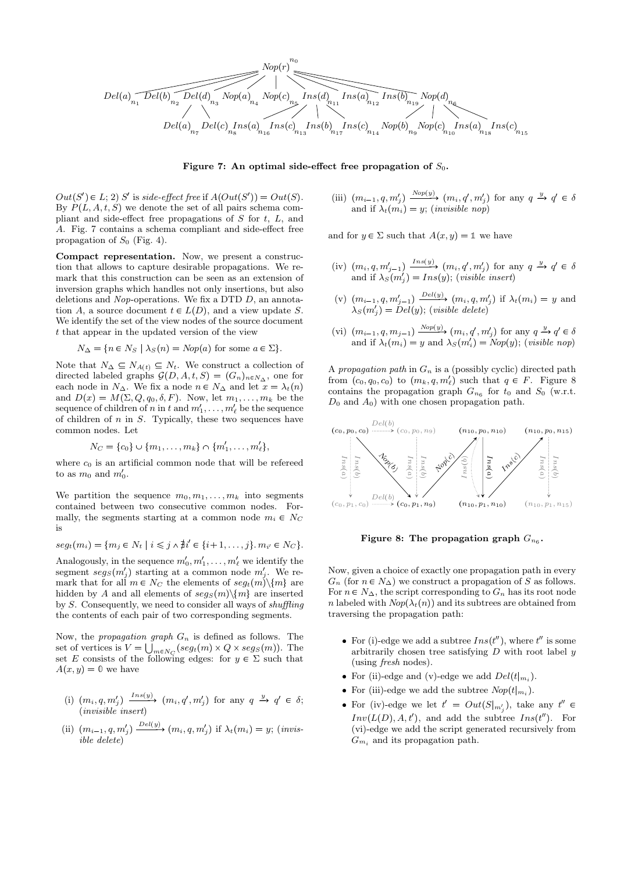

Figure 7: An optimal side-effect free propagation of  $S_0$ .

 $Out(S') \in L; 2)$  S' is side-effect free if  $A(Out(S')) = Out(S)$ . By  $P(L, A, t, S)$  we denote the set of all pairs schema compliant and side-effect free propagations of  $S$  for  $t$ ,  $L$ , and A. Fig. 7 contains a schema compliant and side-effect free propagation of  $S_0$  (Fig. 4).

Compact representation. Now, we present a construction that allows to capture desirable propagations. We remark that this construction can be seen as an extension of inversion graphs which handles not only insertions, but also deletions and Nop-operations. We fix a DTD  $D$ , an annotation A, a source document  $t \in L(D)$ , and a view update S. We identify the set of the view nodes of the source document t that appear in the updated version of the view

$$
N_{\Delta} = \{ n \in N_S \mid \lambda_S(n) = Nop(a) \text{ for some } a \in \Sigma \}.
$$

Note that  $N_{\Delta} \subseteq N_{A(t)} \subseteq N_t$ . We construct a collection of directed labeled graphs  $\mathcal{G}(D, A, t, S) = (G_n)_{n \in N_\Delta}$ , one for each node in  $N_{\Delta}$ . We fix a node  $n \in N_{\Delta}$  and let  $x = \lambda_t(n)$ and  $D(x) = M(\Sigma, Q, q_0, \delta, F)$ . Now, let  $m_1, \ldots, m_k$  be the sequence of children of n in t and  $m'_1, \ldots, m'_\ell$  be the sequence of children of  $n$  in  $S$ . Typically, these two sequences have common nodes. Let

$$
N_C = \{c_0\} \cup \{m_1, \ldots, m_k\} \cap \{m'_1, \ldots, m'_\ell\},\
$$

where  $c_0$  is an artificial common node that will be refereed to as  $m_0$  and  $m'_0$ .

We partition the sequence  $m_0, m_1, \ldots, m_k$  into segments contained between two consecutive common nodes. Formally, the segments starting at a common node  $m_i \in N_C$ is

$$
seg_t(m_i) = \{m_j \in N_t \mid i \leq j \land \nexists i' \in \{i+1, \ldots, j\}. \, m_{i'} \in N_C\}.
$$

Analogously, in the sequence  $m'_0, m'_1, \ldots, m'_\ell$  we identify the segment  $seg_S(m'_j)$  starting at a common node  $m'_j$ . We remark that for all  $m \in N_C$  the elements of  $seg_t(m)\setminus\{m\}$  are hidden by A and all elements of  $seg_S(m)\setminus\{m\}$  are inserted by S. Consequently, we need to consider all ways of shuffling the contents of each pair of two corresponding segments.

Now, the *propagation graph*  $G_n$  is defined as follows. The set of vertices is  $V = \bigcup_{m \in N_Q} (seg_t(m) \times Q \times seg_S(m))$ . The set E consists of the following edges: for  $y \in \Sigma$  such that  $A(x, y) = 0$  we have

- (i)  $(m_i, q, m'_j) \xrightarrow{Ins(y)} (m_i, q', m'_j)$  for any  $q \xrightarrow{y} q' \in \delta$ ; (invisible insert)
- (ii)  $(m_{i-1}, q, m'_j) \xrightarrow{Del(y)} (m_i, q, m'_j)$  if  $\lambda_t(m_i) = y$ ; (invisible delete)

(iii)  $(m_{i-1}, q, m'_j) \xrightarrow{Nop(y)} (m_i, q', m'_j)$  for any  $q \xrightarrow{y} q' \in \delta$ and if  $\lambda_t(m_i) = y$ ; (*invisible nop*)

and for  $y \in \Sigma$  such that  $A(x, y) = \mathbb{1}$  we have

- (iv)  $(m_i, q, m'_{j-1}) \xrightarrow{Ins(y)} (m_i, q', m'_j)$  for any  $q \xrightarrow{y} q' \in \delta$ and if  $\lambda_S(m'_j) = Ins(y)$ ; (visible insert)
- (v)  $(m_{i-1}, q, m'_{j-1}) \xrightarrow{Del(y)} (m_i, q, m'_j)$  if  $\lambda_t(m_i) = y$  and  $\lambda_S(m'_j) = \text{D}el(y)$ ; (visible delete)
- (vi)  $(m_{i-1}, q, m_{j-1}) \xrightarrow{Nop(y)} (m_i, q', m'_j)$  for any  $q \xrightarrow{y} q' \in \delta$ and if  $\lambda_t(m_i) = y$  and  $\lambda_s(m'_i) = \text{Nop}(y)$ ; (visible nop)

A propagation path in  $G_n$  is a (possibly cyclic) directed path from  $(c_0, q_0, c_0)$  to  $(m_k, q, m'_\ell)$  such that  $q \in F$ . Figure 8 contains the propagation graph  $G_{n_6}$  for  $t_0$  and  $S_0$  (w.r.t.  $D_0$  and  $A_0$ ) with one chosen propagation path.



Figure 8: The propagation graph  $G_{n_6}$ .

Now, given a choice of exactly one propagation path in every  $G_n$  (for  $n \in N_\Delta$ ) we construct a propagation of S as follows. For  $n \in N_\Delta$ , the script corresponding to  $G_n$  has its root node n labeled with  $Nop(\lambda_t(n))$  and its subtrees are obtained from traversing the propagation path:

- For (i)-edge we add a subtree  $Ins(t'')$ , where  $t''$  is some arbitrarily chosen tree satisfying  $D$  with root label  $y$ (using fresh nodes).
- For (ii)-edge and (v)-edge we add  $Del(t|_{m_i})$ .
- For (iii)-edge we add the subtree  $Nop(t|_{m_i})$ .
- For (iv)-edge we let  $t' = Out(S|_{m'_j})$ , take any  $t'' \in$  $Inv(L(D), A, t')$ , and add the subtree  $Ins(t'')$ . For (vi)-edge we add the script generated recursively from  $G_{m_i}$  and its propagation path.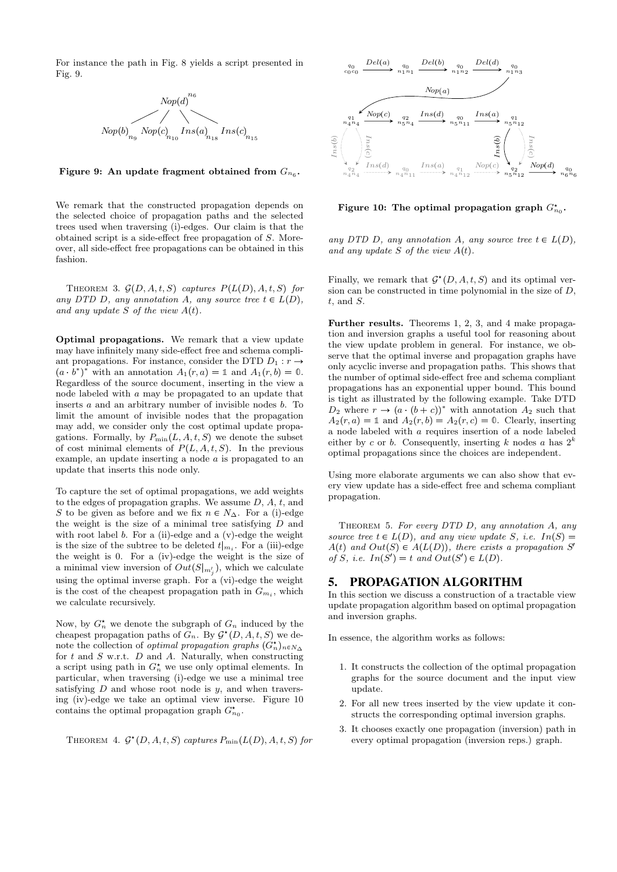For instance the path in Fig. 8 yields a script presented in Fig. 9.



Figure 9: An update fragment obtained from  $G_{n_6}$ .

We remark that the constructed propagation depends on the selected choice of propagation paths and the selected trees used when traversing (i)-edges. Our claim is that the obtained script is a side-effect free propagation of S. Moreover, all side-effect free propagations can be obtained in this fashion.

THEOREM 3.  $\mathcal{G}(D, A, t, S)$  captures  $P(L(D), A, t, S)$  for any DTD D, any annotation A, any source tree  $t \in L(D)$ , and any update S of the view  $A(t)$ .

Optimal propagations. We remark that a view update may have infinitely many side-effect free and schema compliant propagations. For instance, consider the DTD  $D_1 : r \rightarrow$  $(a \cdot \overrightarrow{b^*})^*$  with an annotation  $A_1(r, a) = \mathbb{1}$  and  $A_1(r, b) = \mathbb{0}$ . Regardless of the source document, inserting in the view a node labeled with a may be propagated to an update that inserts  $a$  and an arbitrary number of invisible nodes  $b$ . To limit the amount of invisible nodes that the propagation may add, we consider only the cost optimal update propagations. Formally, by  $P_{\min}(L, A, t, S)$  we denote the subset of cost minimal elements of  $P(L, A, t, S)$ . In the previous example, an update inserting a node a is propagated to an update that inserts this node only.

To capture the set of optimal propagations, we add weights to the edges of propagation graphs. We assume  $D, A, t$ , and S to be given as before and we fix  $n \in N_\Delta$ . For a (i)-edge the weight is the size of a minimal tree satisfying  $D$  and with root label  $b$ . For a (ii)-edge and a (v)-edge the weight is the size of the subtree to be deleted  $t|_{m_i}$ . For a (iii)-edge the weight is 0. For a (iv)-edge the weight is the size of a minimal view inversion of  $Out(S|_{m'_j})$ , which we calculate using the optimal inverse graph. For a (vi)-edge the weight is the cost of the cheapest propagation path in  $G_{m_i}$ , which we calculate recursively.

Now, by  $G_n^*$  we denote the subgraph of  $G_n$  induced by the cheapest propagation paths of  $G_n$ . By  $\mathcal{G}^*(D, A, t, S)$  we denote the collection of *optimal propagation graphs*  $(G_n^{\star})_{n \in N_{\Delta}}$ for  $t$  and  $S$  w.r.t.  $D$  and  $A$ . Naturally, when constructing a script using path in  $G_n^*$  we use only optimal elements. In particular, when traversing (i)-edge we use a minimal tree satisfying  $D$  and whose root node is  $y$ , and when traversing (iv)-edge we take an optimal view inverse. Figure 10 contains the optimal propagation graph  $G_{n_0}^*$ .

THEOREM 4.  $\mathcal{G}^*(D, A, t, S)$  captures  $P_{\min}(L(D), A, t, S)$  for



Figure 10: The optimal propagation graph  $G_{n_0}^*$ .

any DTD D, any annotation A, any source tree  $t \in L(D)$ , and any update S of the view  $A(t)$ .

Finally, we remark that  $\mathcal{G}^*(D, A, t, S)$  and its optimal version can be constructed in time polynomial in the size of D,  $t$ , and  $S$ .

Further results. Theorems 1, 2, 3, and 4 make propagation and inversion graphs a useful tool for reasoning about the view update problem in general. For instance, we observe that the optimal inverse and propagation graphs have only acyclic inverse and propagation paths. This shows that the number of optimal side-effect free and schema compliant propagations has an exponential upper bound. This bound is tight as illustrated by the following example. Take DTD  $D_2$  where  $r \to (a \cdot (b+c))^*$  with annotation  $A_2$  such that  $A_2(r, a) = \mathbb{1}$  and  $A_2(r, b) = A_2(r, c) = \mathbb{0}$ . Clearly, inserting a node labeled with a requires insertion of a node labeled either by c or b. Consequently, inserting k nodes a has  $2^k$ optimal propagations since the choices are independent.

Using more elaborate arguments we can also show that every view update has a side-effect free and schema compliant propagation.

THEOREM 5. For every DTD  $D$ , any annotation  $A$ , any source tree  $t \in L(D)$ , and any view update S, i.e.  $In(S) =$  $A(t)$  and  $Out(S) \in A(L(D))$ , there exists a propagation S' of S, i.e.  $In(S') = t$  and  $Out(S') \in L(D)$ .

## 5. PROPAGATION ALGORITHM

In this section we discuss a construction of a tractable view update propagation algorithm based on optimal propagation and inversion graphs.

In essence, the algorithm works as follows:

- 1. It constructs the collection of the optimal propagation graphs for the source document and the input view update.
- 2. For all new trees inserted by the view update it constructs the corresponding optimal inversion graphs.
- 3. It chooses exactly one propagation (inversion) path in every optimal propagation (inversion reps.) graph.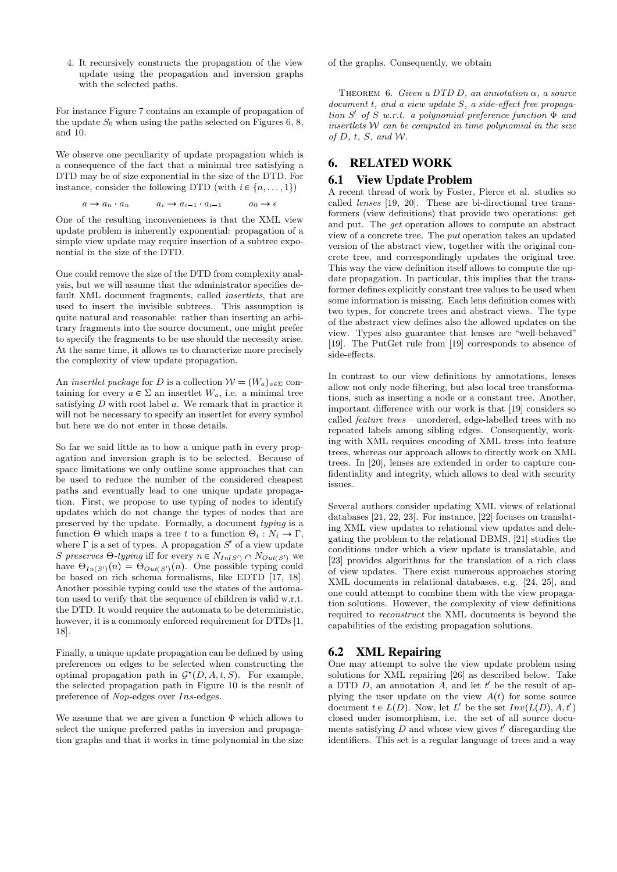4. It recursively constructs the propagation of the view update using the propagation and inversion graphs with the selected paths.

For instance Figure 7 contains an example of propagation of the update  $S_0$  when using the paths selected on Figures 6, 8, and 10.

We observe one peculiarity of update propagation which is a consequence of the fact that a minimal tree satisfying a DTD may be of size exponential in the size of the DTD. For instance, consider the following DTD (with  $i \in \{n, \ldots, 1\}$ )

$$
a \to a_n \quad a_n \qquad a_i \to a_{i-1} \quad a_{i-1} \qquad a_0 \to \epsilon
$$

One of the resulting inconveniences is that the XML view update problem is inherently exponential: propagation of a simple view update may require insertion of a subtree exponential in the size of the DTD.

One could remove the size of the DTD from complexity analysis, but we will assume that the administrator specifies default XML document fragments, called insertlets, that are used to insert the invisible subtrees. This assumption is quite natural and reasonable: rather than inserting an arbitrary fragments into the source document, one might prefer to specify the fragments to be use should the necessity arise. At the same time, it allows us to characterize more precisely the complexity of view update propagation.

An *insertlet package* for D is a collection  $W = (W_a)_{a \in \Sigma}$  containing for every  $a \in \Sigma$  an insertlet  $W_a$ , i.e. a minimal tree satisfying  $D$  with root label  $a$ . We remark that in practice it will not be necessary to specify an insertlet for every symbol but here we do not enter in those details.

So far we said little as to how a unique path in every propagation and inversion graph is to be selected. Because of space limitations we only outline some approaches that can be used to reduce the number of the considered cheapest paths and eventually lead to one unique update propagation. First, we propose to use typing of nodes to identify updates which do not change the types of nodes that are preserved by the update. Formally, a document typing is a function  $\Theta$  which maps a tree t to a function  $\Theta_t : N_t \to \Gamma$ , where  $\Gamma$  is a set of types. A propagation  $S'$  of a view update S preserves  $\Theta$ -typing iff for every  $n \in N_{In(S')}\cap N_{Out(S')}$  we have  $\Theta_{In(S')}(n) = \Theta_{Out(S')}(n)$ . One possible typing could be based on rich schema formalisms, like EDTD [17, 18]. Another possible typing could use the states of the automaton used to verify that the sequence of children is valid w.r.t. the DTD. It would require the automata to be deterministic, however, it is a commonly enforced requirement for DTDs [1, 18].

Finally, a unique update propagation can be defined by using preferences on edges to be selected when constructing the optimal propagation path in  $\mathcal{G}^*(D, A, t, S)$ . For example, the selected propagation path in Figure 10 is the result of preference of Nop-edges over Ins-edges.

We assume that we are given a function  $\Phi$  which allows to select the unique preferred paths in inversion and propagation graphs and that it works in time polynomial in the size

of the graphs. Consequently, we obtain

THEOREM 6. Given a DTD D, an annotation  $\alpha$ , a source document t, and a view update S, a side-effect free propagation  $S'$  of  $S$  w.r.t. a polynomial preference function  $\Phi$  and insertlets  $W$  can be computed in time polynomial in the size of  $D$ ,  $t$ ,  $S$ , and  $W$ .

### 6. RELATED WORK

#### 6.1 View Update Problem

A recent thread of work by Foster, Pierce et al. studies so called lenses [19, 20]. These are bi-directional tree transformers (view definitions) that provide two operations: get and put. The get operation allows to compute an abstract view of a concrete tree. The put operation takes an updated version of the abstract view, together with the original concrete tree, and correspondingly updates the original tree. This way the view definition itself allows to compute the update propagation. In particular, this implies that the transformer defines explicitly constant tree values to be used when some information is missing. Each lens definition comes with two types, for concrete trees and abstract views. The type of the abstract view defines also the allowed updates on the view. Types also guarantee that lenses are "well-behaved" [19]. The PutGet rule from [19] corresponds to absence of side-effects.

In contrast to our view definitions by annotations, lenses allow not only node filtering, but also local tree transformations, such as inserting a node or a constant tree. Another, important difference with our work is that [19] considers so called feature trees – unordered, edge-labelled trees with no repeated labels among sibling edges. Consequently, working with XML requires encoding of XML trees into feature trees, whereas our approach allows to directly work on XML trees. In [20], lenses are extended in order to capture confidentiality and integrity, which allows to deal with security issues.

Several authors consider updating XML views of relational databases [21, 22, 23]. For instance, [22] focuses on translating XML view updates to relational view updates and delegating the problem to the relational DBMS, [21] studies the conditions under which a view update is translatable, and [23] provides algorithms for the translation of a rich class of view updates. There exist numerous approaches storing XML documents in relational databases, e.g. [24, 25], and one could attempt to combine them with the view propagation solutions. However, the complexity of view definitions required to reconstruct the XML documents is beyond the capabilities of the existing propagation solutions.

#### 6.2 XML Repairing

One may attempt to solve the view update problem using solutions for XML repairing [26] as described below. Take a DTD  $D$ , an annotation  $A$ , and let  $t'$  be the result of applying the user update on the view  $A(t)$  for some source document  $t \in L(D)$ . Now, let L' be the set  $Inv(L(D), A, t')$ closed under isomorphism, i.e. the set of all source documents satisfying  $D$  and whose view gives  $t'$  disregarding the identifiers. This set is a regular language of trees and a way